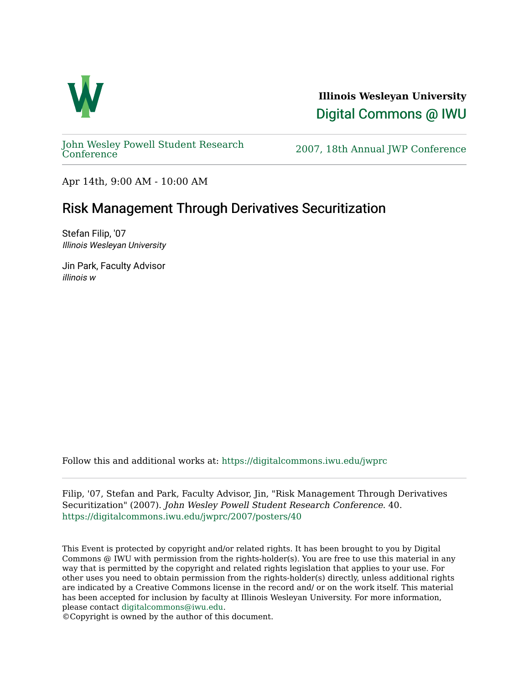

**Illinois Wesleyan University**  [Digital Commons @ IWU](https://digitalcommons.iwu.edu/) 

[John Wesley Powell Student Research](https://digitalcommons.iwu.edu/jwprc) 

2007, 18th Annual JWP [Conference](https://digitalcommons.iwu.edu/jwprc)

Apr 14th, 9:00 AM - 10:00 AM

## Risk Management Through Derivatives Securitization

Stefan Filip, '07 Illinois Wesleyan University

Jin Park, Faculty Advisor illinois w

Follow this and additional works at: [https://digitalcommons.iwu.edu/jwprc](https://digitalcommons.iwu.edu/jwprc?utm_source=digitalcommons.iwu.edu%2Fjwprc%2F2007%2Fposters%2F40&utm_medium=PDF&utm_campaign=PDFCoverPages) 

Filip, '07, Stefan and Park, Faculty Advisor, Jin, "Risk Management Through Derivatives Securitization" (2007). John Wesley Powell Student Research Conference. 40. [https://digitalcommons.iwu.edu/jwprc/2007/posters/40](https://digitalcommons.iwu.edu/jwprc/2007/posters/40?utm_source=digitalcommons.iwu.edu%2Fjwprc%2F2007%2Fposters%2F40&utm_medium=PDF&utm_campaign=PDFCoverPages)

This Event is protected by copyright and/or related rights. It has been brought to you by Digital Commons @ IWU with permission from the rights-holder(s). You are free to use this material in any way that is permitted by the copyright and related rights legislation that applies to your use. For other uses you need to obtain permission from the rights-holder(s) directly, unless additional rights are indicated by a Creative Commons license in the record and/ or on the work itself. This material has been accepted for inclusion by faculty at Illinois Wesleyan University. For more information, please contact [digitalcommons@iwu.edu.](mailto:digitalcommons@iwu.edu)

©Copyright is owned by the author of this document.